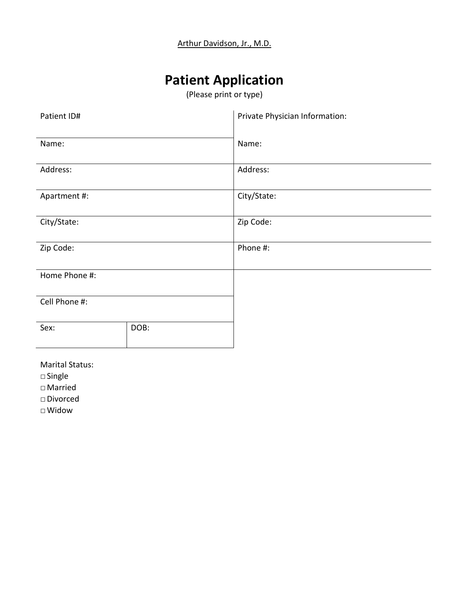# **Patient Application**

(Please print or type)

| Patient ID#   |      | Private Physician Information: |  |
|---------------|------|--------------------------------|--|
| Name:         |      | Name:                          |  |
| Address:      |      | Address:                       |  |
| Apartment #:  |      | City/State:                    |  |
| City/State:   |      | Zip Code:                      |  |
| Zip Code:     |      | Phone #:                       |  |
| Home Phone #: |      |                                |  |
| Cell Phone #: |      |                                |  |
| Sex:          | DOB: |                                |  |
|               |      |                                |  |

Marital Status:

□Single

□ Married

□Divorced

□Widow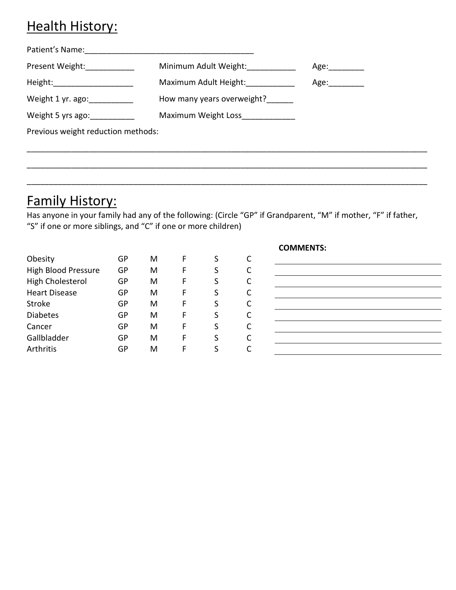## Health History:

| Patient's Name:                    |                                  |                |
|------------------------------------|----------------------------------|----------------|
|                                    | Minimum Adult Weight:            | Age:__________ |
| Height: ______________________     | Maximum Adult Height:            | Age:__________ |
| Weight 1 yr. ago: ____________     | How many years overweight?       |                |
| Weight 5 yrs ago: ___________      | Maximum Weight Loss_____________ |                |
| Previous weight reduction methods: |                                  |                |

# Family History:

Has anyone in your family had any of the following: (Circle "GP" if Grandparent, "M" if mother, "F" if father, "S" if one or more siblings, and "C" if one or more children)

\_\_\_\_\_\_\_\_\_\_\_\_\_\_\_\_\_\_\_\_\_\_\_\_\_\_\_\_\_\_\_\_\_\_\_\_\_\_\_\_\_\_\_\_\_\_\_\_\_\_\_\_\_\_\_\_\_\_\_\_\_\_\_\_\_\_\_\_\_\_\_\_\_\_\_\_\_\_\_\_\_\_\_\_\_\_\_\_\_\_

\_\_\_\_\_\_\_\_\_\_\_\_\_\_\_\_\_\_\_\_\_\_\_\_\_\_\_\_\_\_\_\_\_\_\_\_\_\_\_\_\_\_\_\_\_\_\_\_\_\_\_\_\_\_\_\_\_\_\_\_\_\_\_\_\_\_\_\_\_\_\_\_\_\_\_\_\_\_\_\_\_\_\_\_\_\_\_\_\_\_

| Obesity                    | GP | м | F | S |   |
|----------------------------|----|---|---|---|---|
| <b>High Blood Pressure</b> | GP | м | F | S | C |
| High Cholesterol           | GP | м | F | S | C |
| <b>Heart Disease</b>       | GP | м | F | S | C |
| Stroke                     | GP | м | F | S | C |
| <b>Diabetes</b>            | GP | м | F | S | C |
| Cancer                     | GP | м | F | S | C |
| Gallbladder                | GP | м | F | S | C |
| Arthritis                  | GP | м | F |   |   |

#### **COMMENTS:**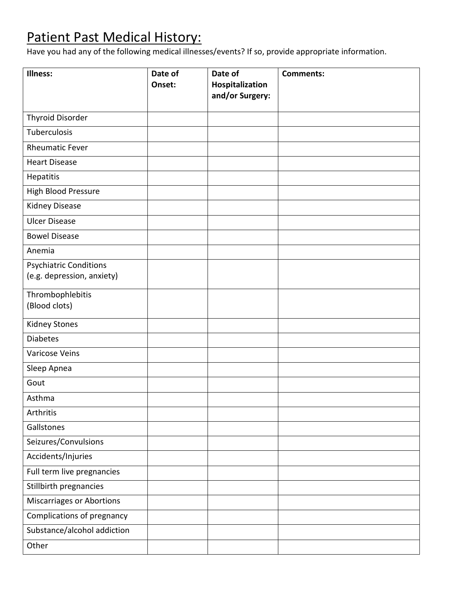# Patient Past Medical History:

Have you had any of the following medical illnesses/events? If so, provide appropriate information.

| Illness:                                                    | Date of<br>Onset: | Date of<br>Hospitalization<br>and/or Surgery: | <b>Comments:</b> |
|-------------------------------------------------------------|-------------------|-----------------------------------------------|------------------|
| <b>Thyroid Disorder</b>                                     |                   |                                               |                  |
| Tuberculosis                                                |                   |                                               |                  |
| <b>Rheumatic Fever</b>                                      |                   |                                               |                  |
| <b>Heart Disease</b>                                        |                   |                                               |                  |
| Hepatitis                                                   |                   |                                               |                  |
| High Blood Pressure                                         |                   |                                               |                  |
| Kidney Disease                                              |                   |                                               |                  |
| <b>Ulcer Disease</b>                                        |                   |                                               |                  |
| <b>Bowel Disease</b>                                        |                   |                                               |                  |
| Anemia                                                      |                   |                                               |                  |
| <b>Psychiatric Conditions</b><br>(e.g. depression, anxiety) |                   |                                               |                  |
| Thrombophlebitis<br>(Blood clots)                           |                   |                                               |                  |
| Kidney Stones                                               |                   |                                               |                  |
| <b>Diabetes</b>                                             |                   |                                               |                  |
| Varicose Veins                                              |                   |                                               |                  |
| Sleep Apnea                                                 |                   |                                               |                  |
| Gout                                                        |                   |                                               |                  |
| Asthma                                                      |                   |                                               |                  |
| Arthritis                                                   |                   |                                               |                  |
| Gallstones                                                  |                   |                                               |                  |
| Seizures/Convulsions                                        |                   |                                               |                  |
| Accidents/Injuries                                          |                   |                                               |                  |
| Full term live pregnancies                                  |                   |                                               |                  |
| Stillbirth pregnancies                                      |                   |                                               |                  |
| Miscarriages or Abortions                                   |                   |                                               |                  |
| Complications of pregnancy                                  |                   |                                               |                  |
| Substance/alcohol addiction                                 |                   |                                               |                  |
| Other                                                       |                   |                                               |                  |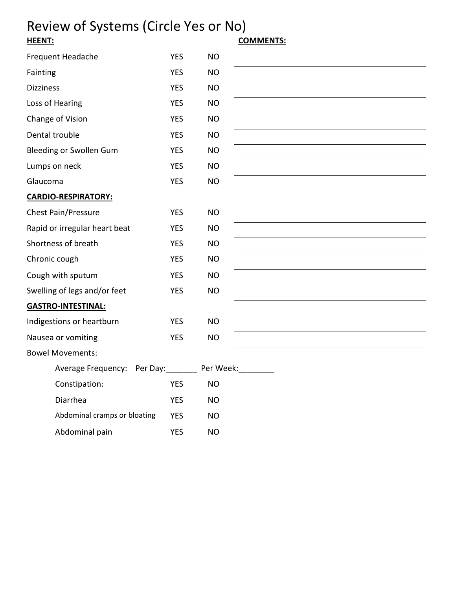# Review of Systems (Circle Yes or No)<br>
<u>HEENT:</u>

| Frequent Headache             | <b>YES</b> | <b>NO</b> |  |
|-------------------------------|------------|-----------|--|
| Fainting                      | <b>YES</b> | <b>NO</b> |  |
| <b>Dizziness</b>              | <b>YES</b> | <b>NO</b> |  |
| Loss of Hearing               | <b>YES</b> | <b>NO</b> |  |
| Change of Vision              | <b>YES</b> | NO.       |  |
| Dental trouble                | <b>YES</b> | <b>NO</b> |  |
| Bleeding or Swollen Gum       | <b>YES</b> | <b>NO</b> |  |
| Lumps on neck                 | <b>YES</b> | <b>NO</b> |  |
| Glaucoma                      | <b>YES</b> | <b>NO</b> |  |
| <b>CARDIO-RESPIRATORY:</b>    |            |           |  |
| <b>Chest Pain/Pressure</b>    | <b>YES</b> | <b>NO</b> |  |
| Rapid or irregular heart beat | <b>YES</b> | <b>NO</b> |  |
| Shortness of breath           | <b>YES</b> | <b>NO</b> |  |
| Chronic cough                 | <b>YES</b> | <b>NO</b> |  |
| Cough with sputum             | <b>YES</b> | <b>NO</b> |  |
| Swelling of legs and/or feet  | <b>YES</b> | <b>NO</b> |  |
| <u> GASTRO-INTESTINAL:</u>    |            |           |  |
| Indigestions or heartburn     | <b>YES</b> | <b>NO</b> |  |
| Nausea or vomiting            | <b>YES</b> | <b>NO</b> |  |
| <b>Bowel Movements:</b>       |            |           |  |
| Average Frequency: Per Day:   |            | Per Week: |  |
| Constipation:                 | <b>YES</b> | <b>NO</b> |  |
| Diarrhea                      | <b>YES</b> | <b>NO</b> |  |
| Abdominal cramps or bloating  | <b>YES</b> | <b>NO</b> |  |
| Abdominal pain                | <b>YES</b> | <b>NO</b> |  |

## **HEENT: COMMENTS:**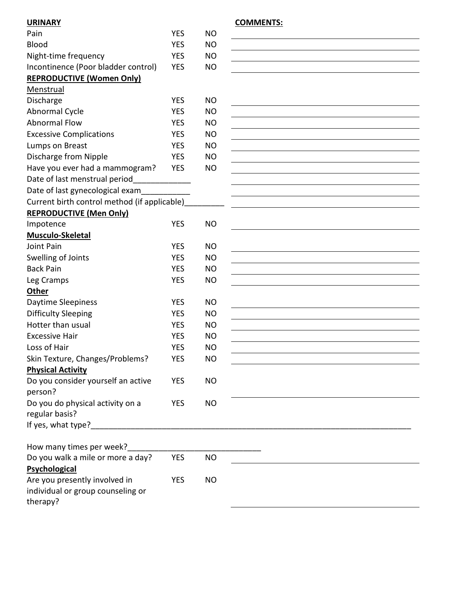| Pain                                                                                                                                                                                                                           | <b>YES</b> | <b>NO</b> |                                                                                                                                                                                                                               |
|--------------------------------------------------------------------------------------------------------------------------------------------------------------------------------------------------------------------------------|------------|-----------|-------------------------------------------------------------------------------------------------------------------------------------------------------------------------------------------------------------------------------|
| <b>Blood</b>                                                                                                                                                                                                                   | <b>YES</b> | <b>NO</b> |                                                                                                                                                                                                                               |
| Night-time frequency                                                                                                                                                                                                           | <b>YES</b> | <b>NO</b> |                                                                                                                                                                                                                               |
| Incontinence (Poor bladder control)                                                                                                                                                                                            | <b>YES</b> | <b>NO</b> |                                                                                                                                                                                                                               |
| <b>REPRODUCTIVE (Women Only)</b>                                                                                                                                                                                               |            |           |                                                                                                                                                                                                                               |
| Menstrual                                                                                                                                                                                                                      |            |           |                                                                                                                                                                                                                               |
| Discharge                                                                                                                                                                                                                      | <b>YES</b> | <b>NO</b> |                                                                                                                                                                                                                               |
| Abnormal Cycle                                                                                                                                                                                                                 | <b>YES</b> | <b>NO</b> |                                                                                                                                                                                                                               |
| <b>Abnormal Flow</b>                                                                                                                                                                                                           | <b>YES</b> | <b>NO</b> |                                                                                                                                                                                                                               |
| <b>Excessive Complications</b>                                                                                                                                                                                                 | <b>YES</b> | <b>NO</b> |                                                                                                                                                                                                                               |
| Lumps on Breast                                                                                                                                                                                                                | <b>YES</b> | <b>NO</b> |                                                                                                                                                                                                                               |
| Discharge from Nipple                                                                                                                                                                                                          | <b>YES</b> | <b>NO</b> | the control of the control of the control of the control of the control of the control of the control of the control of the control of the control of the control of the control of the control of the control of the control |
| Have you ever had a mammogram?                                                                                                                                                                                                 | <b>YES</b> | <b>NO</b> |                                                                                                                                                                                                                               |
| Date of last menstrual period______________                                                                                                                                                                                    |            |           |                                                                                                                                                                                                                               |
| Date of last gynecological exam                                                                                                                                                                                                |            |           |                                                                                                                                                                                                                               |
| Current birth control method (if applicable)                                                                                                                                                                                   |            |           | <u> 1989 - Johann Barbara, martxa alemaniar arg</u>                                                                                                                                                                           |
| <b>REPRODUCTIVE (Men Only)</b>                                                                                                                                                                                                 |            |           |                                                                                                                                                                                                                               |
| Impotence                                                                                                                                                                                                                      | <b>YES</b> | <b>NO</b> |                                                                                                                                                                                                                               |
| Musculo-Skeletal                                                                                                                                                                                                               |            |           |                                                                                                                                                                                                                               |
| Joint Pain                                                                                                                                                                                                                     | <b>YES</b> | <b>NO</b> |                                                                                                                                                                                                                               |
| Swelling of Joints                                                                                                                                                                                                             | <b>YES</b> | <b>NO</b> |                                                                                                                                                                                                                               |
| <b>Back Pain</b>                                                                                                                                                                                                               | <b>YES</b> | <b>NO</b> |                                                                                                                                                                                                                               |
| Leg Cramps                                                                                                                                                                                                                     | <b>YES</b> | <b>NO</b> |                                                                                                                                                                                                                               |
| Other                                                                                                                                                                                                                          |            |           |                                                                                                                                                                                                                               |
| Daytime Sleepiness                                                                                                                                                                                                             | <b>YES</b> | <b>NO</b> |                                                                                                                                                                                                                               |
| <b>Difficulty Sleeping</b>                                                                                                                                                                                                     | <b>YES</b> | <b>NO</b> |                                                                                                                                                                                                                               |
| Hotter than usual                                                                                                                                                                                                              | <b>YES</b> | <b>NO</b> |                                                                                                                                                                                                                               |
| <b>Excessive Hair</b>                                                                                                                                                                                                          | <b>YES</b> | <b>NO</b> |                                                                                                                                                                                                                               |
| Loss of Hair                                                                                                                                                                                                                   | <b>YES</b> | <b>NO</b> |                                                                                                                                                                                                                               |
| Skin Texture, Changes/Problems?                                                                                                                                                                                                | <b>YES</b> | <b>NO</b> |                                                                                                                                                                                                                               |
| <b>Physical Activity</b>                                                                                                                                                                                                       |            |           |                                                                                                                                                                                                                               |
| Do you consider yourself an active<br>person?                                                                                                                                                                                  | <b>YES</b> | <b>NO</b> |                                                                                                                                                                                                                               |
| Do you do physical activity on a<br>regular basis?                                                                                                                                                                             | <b>YES</b> | <b>NO</b> |                                                                                                                                                                                                                               |
| If yes, what type? The same state of the state of the state of the state of the state of the state of the state of the state of the state of the state of the state of the state of the state of the state of the state of the |            |           |                                                                                                                                                                                                                               |
| How many times per week?                                                                                                                                                                                                       |            |           |                                                                                                                                                                                                                               |
| Do you walk a mile or more a day?                                                                                                                                                                                              | <b>YES</b> | <b>NO</b> |                                                                                                                                                                                                                               |
| Psychological                                                                                                                                                                                                                  |            |           |                                                                                                                                                                                                                               |
| Are you presently involved in                                                                                                                                                                                                  | <b>YES</b> | <b>NO</b> |                                                                                                                                                                                                                               |
| individual or group counseling or<br>therapy?                                                                                                                                                                                  |            |           |                                                                                                                                                                                                                               |

### **URINARY COMMENTS:**

| <b>NO</b> |  |
|-----------|--|
| <b>NO</b> |  |
| <b>NO</b> |  |
|           |  |
|           |  |
|           |  |
| <b>NO</b> |  |
| <b>NO</b> |  |
| <b>NO</b> |  |
| <b>NO</b> |  |
| <b>NO</b> |  |
| <b>NO</b> |  |
|           |  |
| <b>NO</b> |  |
|           |  |
|           |  |
|           |  |
|           |  |
| <b>NO</b> |  |
|           |  |
| <b>NO</b> |  |
|           |  |
| <b>NO</b> |  |
| <b>NO</b> |  |
| <b>NO</b> |  |
|           |  |
| <b>NO</b> |  |
| <b>NO</b> |  |
| <b>NO</b> |  |
| <b>NO</b> |  |
|           |  |
| <b>NO</b> |  |
| <b>NO</b> |  |
|           |  |
| <b>NO</b> |  |
|           |  |
| <b>NO</b> |  |
|           |  |
|           |  |